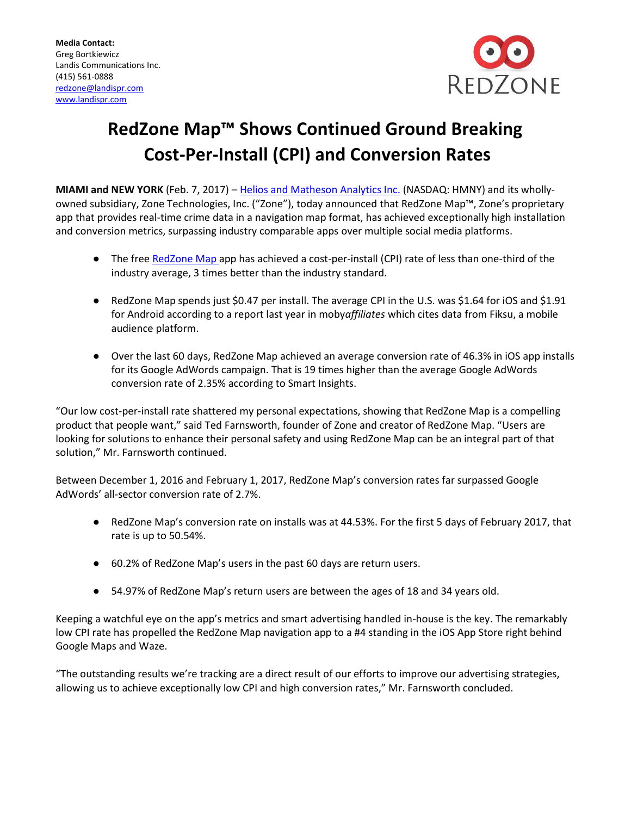

## **RedZone Map™ Shows Continued Ground Breaking Cost-Per-Install (CPI) and Conversion Rates**

**MIAMI and NEW YORK** (Feb. 7, 2017) – [Helios and Matheson Analytics Inc.](http://www.hmny.com/) (NASDAQ: HMNY) and its whollyowned subsidiary, Zone Technologies, Inc. ("Zone"), today announced that RedZone Map™, Zone's proprietary app that provides real-time crime data in a navigation map format, has achieved exceptionally high installation and conversion metrics, surpassing industry comparable apps over multiple social media platforms.

- The fre[e RedZone Map](http://www.redzonemap.com/) app has achieved a cost-per-install (CPI) rate of less than one-third of the industry average, 3 times better than the industry standard.
- RedZone Map spends just \$0.47 per install. The average CPI in the U.S. was \$1.64 for iOS and \$1.91 for Android according to a report last year in moby*affiliates* which cites data from Fiksu, a mobile audience platform.
- Over the last 60 days, RedZone Map achieved an average conversion rate of 46.3% in iOS app installs for its Google AdWords campaign. That is 19 times higher than the average Google AdWords conversion rate of 2.35% according to Smart Insights.

"Our low cost-per-install rate shattered my personal expectations, showing that RedZone Map is a compelling product that people want," said Ted Farnsworth, founder of Zone and creator of RedZone Map. "Users are looking for solutions to enhance their personal safety and using RedZone Map can be an integral part of that solution," Mr. Farnsworth continued.

Between December 1, 2016 and February 1, 2017, RedZone Map's conversion rates far surpassed Google AdWords' all-sector conversion rate of 2.7%.

- RedZone Map's conversion rate on installs was at 44.53%. For the first 5 days of February 2017, that rate is up to 50.54%.
- 60.2% of RedZone Map's users in the past 60 days are return users.
- 54.97% of RedZone Map's return users are between the ages of 18 and 34 years old.

Keeping a watchful eye on the app's metrics and smart advertising handled in-house is the key. The remarkably low CPI rate has propelled the RedZone Map navigation app to a #4 standing in the iOS App Store right behind Google Maps and Waze.

"The outstanding results we're tracking are a direct result of our efforts to improve our advertising strategies, allowing us to achieve exceptionally low CPI and high conversion rates," Mr. Farnsworth concluded.